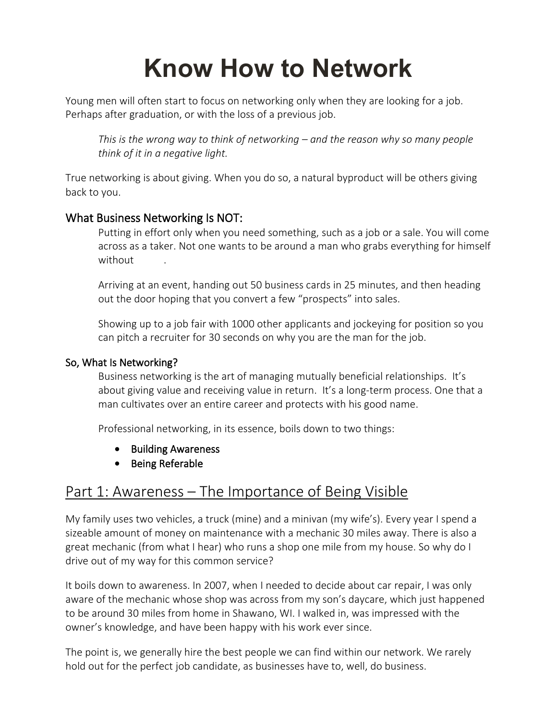# **Know How to Network**

Young men will often start to focus on networking only when they are looking for a job. Perhaps after graduation, or with the loss of a previous job.

*This is the wrong way to think of networking – and the reason why so many people think of it in a negative light.*

True networking is about giving. When you do so, a natural byproduct will be others giving back to you.

# What Business Networking Is NOT:

Putting in effort only when you need something, such as a job or a sale. You will come across as a taker. Not one wants to be around a man who grabs everything for himself without

Arriving at an event, handing out 50 business cards in 25 minutes, and then heading out the door hoping that you convert a few "prospects" into sales.

Showing up to a job fair with 1000 other applicants and jockeying for position so you can pitch a recruiter for 30 seconds on why you are the man for the job.

#### So, What Is Networking?

Business networking is the art of managing mutually beneficial relationships. It's about giving value and receiving value in return. It's a long-term process. One that a man cultivates over an entire career and protects with his good name.

Professional networking, in its essence, boils down to two things:

- Building Awareness
- Being Referable

# Part 1: Awareness – The Importance of Being Visible

My family uses two vehicles, a truck (mine) and a minivan (my wife's). Every year I spend a sizeable amount of money on maintenance with a mechanic 30 miles away. There is also a great mechanic (from what I hear) who runs a shop one mile from my house. So why do I drive out of my way for this common service?

It boils down to awareness. In 2007, when I needed to decide about car repair, I was only aware of the mechanic whose shop was across from my son's daycare, which just happened to be around 30 miles from home in Shawano, WI. I walked in, was impressed with the owner's knowledge, and have been happy with his work ever since.

The point is, we generally hire the best people we can find within our network. We rarely hold out for the perfect job candidate, as businesses have to, well, do business.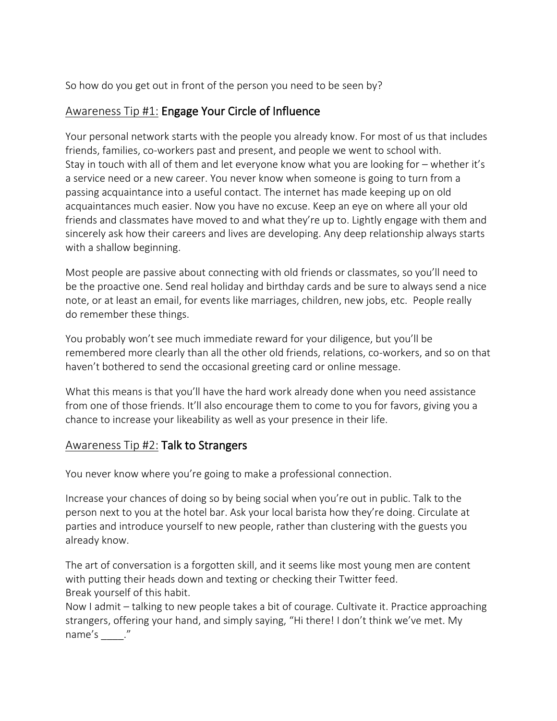So how do you get out in front of the person you need to be seen by?

# Awareness Tip #1: Engage Your Circle of Influence

Your personal network starts with the people you already know. For most of us that includes friends, families, co-workers past and present, and people we went to school with. Stay in touch with all of them and let everyone know what you are looking for – whether it's a service need or a new career. You never know when someone is going to turn from a passing acquaintance into a useful contact. The internet has made keeping up on old acquaintances much easier. Now you have no excuse. Keep an eye on where all your old friends and classmates have moved to and what they're up to. Lightly engage with them and sincerely ask how their careers and lives are developing. Any deep relationship always starts with a shallow beginning.

Most people are passive about connecting with old friends or classmates, so you'll need to be the proactive one. Send real holiday and birthday cards and be sure to always send a nice note, or at least an email, for events like marriages, children, new jobs, etc. People really do remember these things.

You probably won't see much immediate reward for your diligence, but you'll be remembered more clearly than all the other old friends, relations, co-workers, and so on that haven't bothered to send the occasional greeting card or online message.

What this means is that you'll have the hard work already done when you need assistance from one of those friends. It'll also encourage them to come to you for favors, giving you a chance to increase your likeability as well as your presence in their life.

## Awareness Tip #2: Talk to Strangers

You never know where you're going to make a professional connection.

Increase your chances of doing so by being social when you're out in public. Talk to the person next to you at the hotel bar. Ask your local barista how they're doing. Circulate at parties and introduce yourself to new people, rather than clustering with the guests you already know.

The art of conversation is a forgotten skill, and it seems like most young men are content with putting their heads down and texting or checking their Twitter feed. Break yourself of this habit.

Now I admit – talking to new people takes a bit of courage. Cultivate it. Practice approaching strangers, offering your hand, and simply saying, "Hi there! I don't think we've met. My name's  $\_\_\$ ."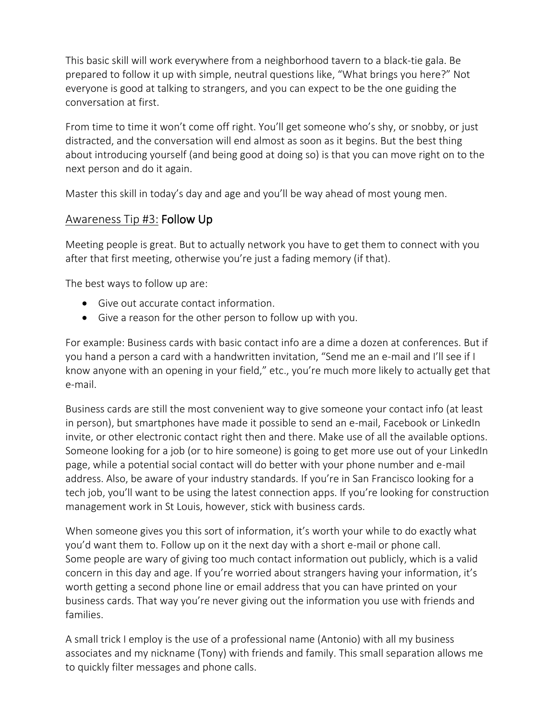This basic skill will work everywhere from a neighborhood tavern to a black-tie gala. Be prepared to follow it up with simple, neutral questions like, "What brings you here?" Not everyone is good at talking to strangers, and you can expect to be the one guiding the conversation at first.

From time to time it won't come off right. You'll get someone who's shy, or snobby, or just distracted, and the conversation will end almost as soon as it begins. But the best thing about introducing yourself (and being good at doing so) is that you can move right on to the next person and do it again.

Master this skill in today's day and age and you'll be way ahead of most young men.

## Awareness Tip #3: Follow Up

Meeting people is great. But to actually network you have to get them to connect with you after that first meeting, otherwise you're just a fading memory (if that).

The best ways to follow up are:

- Give out accurate contact information.
- Give a reason for the other person to follow up with you.

For example: Business cards with basic contact info are a dime a dozen at conferences. But if you hand a person a card with a handwritten invitation, "Send me an e-mail and I'll see if I know anyone with an opening in your field," etc., you're much more likely to actually get that e-mail.

Business cards are still the most convenient way to give someone your contact info (at least in person), but smartphones have made it possible to send an e-mail, Facebook or LinkedIn invite, or other electronic contact right then and there. Make use of all the available options. Someone looking for a job (or to hire someone) is going to get more use out of your LinkedIn page, while a potential social contact will do better with your phone number and e-mail address. Also, be aware of your industry standards. If you're in San Francisco looking for a tech job, you'll want to be using the latest connection apps. If you're looking for construction management work in St Louis, however, stick with business cards.

When someone gives you this sort of information, it's worth your while to do exactly what you'd want them to. Follow up on it the next day with a short e-mail or phone call. Some people are wary of giving too much contact information out publicly, which is a valid concern in this day and age. If you're worried about strangers having your information, it's worth getting a second phone line or email address that you can have printed on your business cards. That way you're never giving out the information you use with friends and families.

A small trick I employ is the use of a professional name (Antonio) with all my business associates and my nickname (Tony) with friends and family. This small separation allows me to quickly filter messages and phone calls.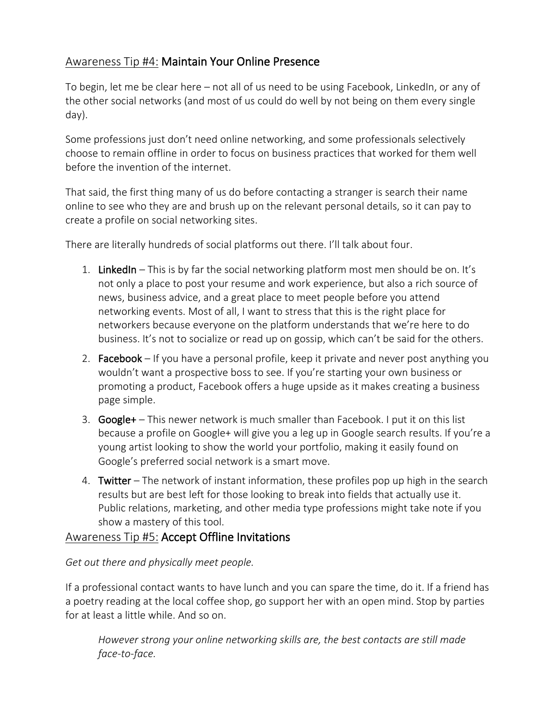# Awareness Tip #4: Maintain Your Online Presence

To begin, let me be clear here – not all of us need to be using Facebook, LinkedIn, or any of the other social networks (and most of us could do well by not being on them every single day).

Some professions just don't need online networking, and some professionals selectively choose to remain offline in order to focus on business practices that worked for them well before the invention of the internet.

That said, the first thing many of us do before contacting a stranger is search their name online to see who they are and brush up on the relevant personal details, so it can pay to create a profile on social networking sites.

There are literally hundreds of social platforms out there. I'll talk about four.

- 1. LinkedIn This is by far the social networking platform most men should be on. It's not only a place to post your resume and work experience, but also a rich source of news, business advice, and a great place to meet people before you attend networking events. Most of all, I want to stress that this is the right place for networkers because everyone on the platform understands that we're here to do business. It's not to socialize or read up on gossip, which can't be said for the others.
- 2. Facebook If you have a personal profile, keep it private and never post anything you wouldn't want a prospective boss to see. If you're starting your own business or promoting a product, Facebook offers a huge upside as it makes creating a business page simple.
- 3. Google+ This newer network is much smaller than Facebook. I put it on this list because a profile on Google+ will give you a leg up in Google search results. If you're a young artist looking to show the world your portfolio, making it easily found on Google's preferred social network is a smart move.
- 4. Twitter The network of instant information, these profiles pop up high in the search results but are best left for those looking to break into fields that actually use it. Public relations, marketing, and other media type professions might take note if you show a mastery of this tool.

# Awareness Tip #5: Accept Offline Invitations

*Get out there and physically meet people.*

If a professional contact wants to have lunch and you can spare the time, do it. If a friend has a poetry reading at the local coffee shop, go support her with an open mind. Stop by parties for at least a little while. And so on.

*However strong your online networking skills are, the best contacts are still made face-to-face.*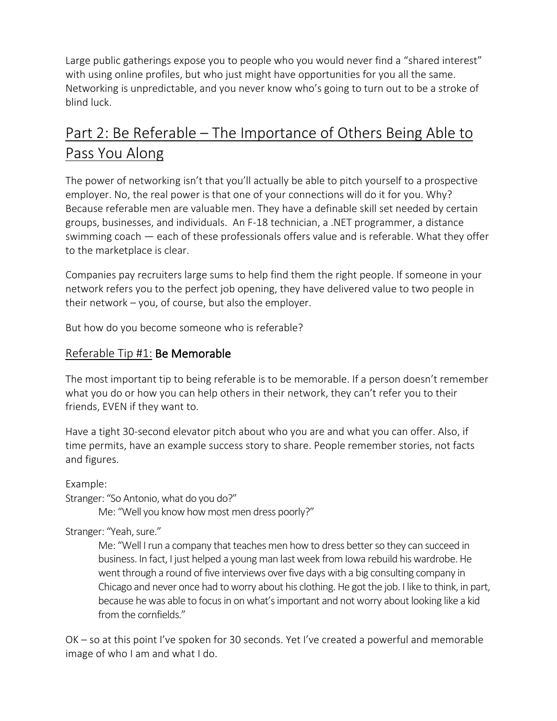Large public gatherings expose you to people who you would never find a "shared interest" with using online profiles, but who just might have opportunities for you all the same. Networking is unpredictable, and you never know who's going to turn out to be a stroke of blind luck.

# Part 2: Be Referable – The Importance of Others Being Able to Pass You Along

The power of networking isn't that you'll actually be able to pitch yourself to a prospective employer. No, the real power is that one of your connections will do it for you. Why? Because referable men are valuable men. They have a definable skill set needed by certain groups, businesses, and individuals. An F-18 technician, a .NET programmer, a distance swimming coach — each of these professionals offers value and is referable. What they offer to the marketplace is clear.

Companies pay recruiters large sums to help find them the right people. If someone in your network refers you to the perfect job opening, they have delivered value to two people in their network – you, of course, but also the employer.

But how do you become someone who is referable?

# Referable Tip #1: Be Memorable

The most important tip to being referable is to be memorable. If a person doesn't remember what you do or how you can help others in their network, they can't refer you to their friends, EVEN if they want to.

Have a tight 30-second elevator pitch about who you are and what you can offer. Also, if time permits, have an example success story to share. People remember stories, not facts and figures.

Example:

Stranger: "So Antonio, what do you do?"

Me: "Well you know how most men dress poorly?"

Stranger: "Yeah, sure."

Me: "Well I run a company that teaches men how to dress better so they can succeed in business. In fact, I just helped a young man last week from Iowa rebuild his wardrobe. He went through a round of five interviews over five days with a big consulting company in Chicago and never once had to worry about his clothing. He got the job. I like to think, in part, because he was able to focus in on what's important and not worry about looking like a kid from the cornfields."

OK – so at this point I've spoken for 30 seconds. Yet I've created a powerful and memorable image of who I am and what I do.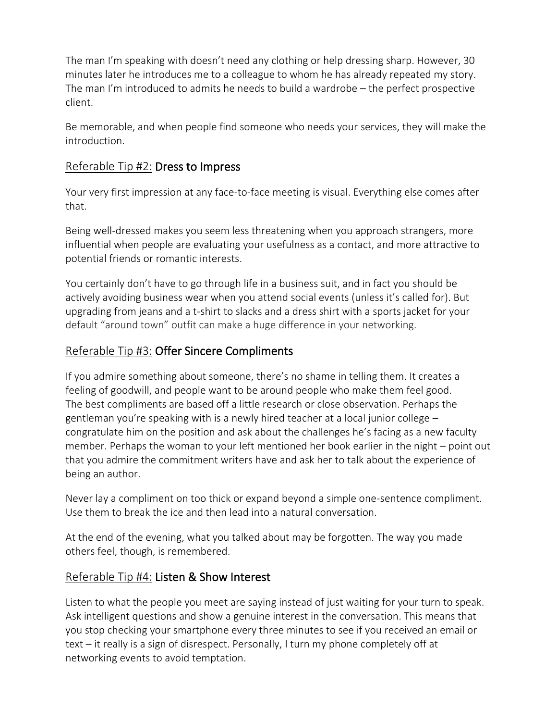The man I'm speaking with doesn't need any clothing or help dressing sharp. However, 30 minutes later he introduces me to a colleague to whom he has already repeated my story. The man I'm introduced to admits he needs to build a wardrobe – the perfect prospective client.

Be memorable, and when people find someone who needs your services, they will make the introduction.

## Referable Tip #2: Dress to Impress

Your very first impression at any face-to-face meeting is visual. Everything else comes after that.

Being well-dressed makes you seem less threatening when you approach strangers, more influential when people are evaluating your usefulness as a contact, and more attractive to potential friends or romantic interests.

You certainly don't have to go through life in a business suit, and in fact you should be actively avoiding business wear when you attend social events (unless it's called for). But upgrading from jeans and a t-shirt to slacks and a dress shirt with a sports jacket for your default "around town" outfit can make a huge difference in your networking.

## Referable Tip #3: Offer Sincere Compliments

If you admire something about someone, there's no shame in telling them. It creates a feeling of goodwill, and people want to be around people who make them feel good. The best compliments are based off a little research or close observation. Perhaps the gentleman you're speaking with is a newly hired teacher at a local junior college – congratulate him on the position and ask about the challenges he's facing as a new faculty member. Perhaps the woman to your left mentioned her book earlier in the night – point out that you admire the commitment writers have and ask her to talk about the experience of being an author.

Never lay a compliment on too thick or expand beyond a simple one-sentence compliment. Use them to break the ice and then lead into a natural conversation.

At the end of the evening, what you talked about may be forgotten. The way you made others feel, though, is remembered.

## Referable Tip #4: Listen & Show Interest

Listen to what the people you meet are saying instead of just waiting for your turn to speak. Ask intelligent questions and show a genuine interest in the conversation. This means that you stop checking your smartphone every three minutes to see if you received an email or text – it really is a sign of disrespect. Personally, I turn my phone completely off at networking events to avoid temptation.